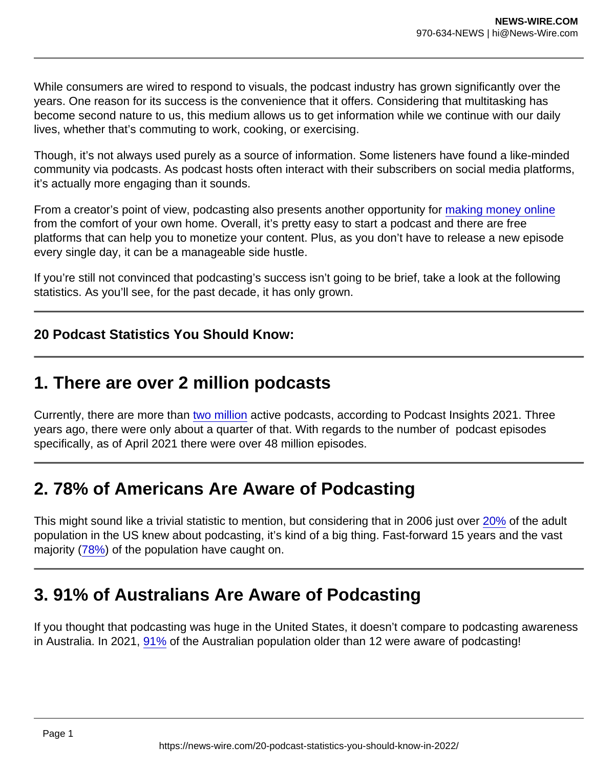While consumers are wired to respond to visuals, the podcast industry has grown significantly over the years. One reason for its success is the convenience that it offers. Considering that multitasking has become second nature to us, this medium allows us to get information while we continue with our daily lives, whether that's commuting to work, cooking, or exercising.

Though, it's not always used purely as a source of information. Some listeners have found a like-minded community via podcasts. As podcast hosts often interact with their subscribers on social media platforms, it's actually more engaging than it sounds.

From a creator's point of view, podcasting also presents another opportunity for [making money online](https://influencermarketinghub.com/make-money-online/) from the comfort of your own home. Overall, it's pretty easy to start a podcast and there are free platforms that can help you to monetize your content. Plus, as you don't have to release a new episode every single day, it can be a manageable side hustle.

If you're still not convinced that podcasting's success isn't going to be brief, take a look at the following statistics. As you'll see, for the past decade, it has only grown.

20 Podcast Statistics You Should Know:

#### 1. There are over 2 million podcasts

Currently, there are more than [two million](https://www.podcastinsights.com/podcast-statistics/) active podcasts, according to Podcast Insights 2021. Three years ago, there were only about a quarter of that. With regards to the number of podcast episodes specifically, as of April 2021 there were over 48 million episodes.

#### 2. 78% of Americans Are Aware of Podcasting

This might sound like a trivial statistic to mention, but considering that in 2006 just over [20%](https://www.statista.com/topics/3170/podcasting/#dossierKeyfigures) of the adult population in the US knew about podcasting, it's kind of a big thing. Fast-forward 15 years and the vast majority [\(78%](http://www.edisonresearch.com/wp-content/uploads/2021/03/The-Infinite-Dial-2021.pdf)) of the population have caught on.

### 3. 91% of Australians Are Aware of Podcasting

If you thought that podcasting was huge in the United States, it doesn't compare to podcasting awareness in Australia. In 2021, [91%](http://www.edisonresearch.com/wp-content/uploads/2021/04/Infinite-Dial-2021-Australia-Webinar-2.pdf) of the Australian population older than 12 were aware of podcasting!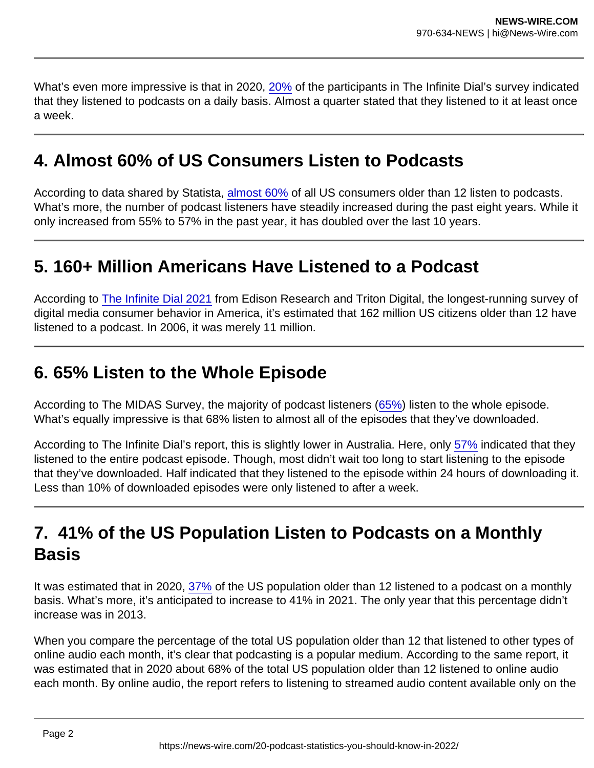What's even more impressive is that in 2020, [20%](http://www.edisonresearch.com/wp-content/uploads/2020/05/The-Infinite-Dial-2020-Australia.pdf) of the participants in The Infinite Dial's survey indicated that they listened to podcasts on a daily basis. Almost a quarter stated that they listened to it at least once a week.

### 4. Almost 60% of US Consumers Listen to Podcasts

According to data shared by Statista, [almost 60%](https://www.statista.com/statistics/188955/percentage-of-us-adults-who-listen-to-audio-podcasts-since-2006/) of all US consumers older than 12 listen to podcasts. What's more, the number of podcast listeners have steadily increased during the past eight years. While it only increased from 55% to 57% in the past year, it has doubled over the last 10 years.

#### 5. 160+ Million Americans Have Listened to a Podcast

According to [The Infinite Dial 2021](http://www.edisonresearch.com/wp-content/uploads/2021/03/The-Infinite-Dial-2021.pdf) from Edison Research and Triton Digital, the longest-running survey of digital media consumer behavior in America, it's estimated that 162 million US citizens older than 12 have listened to a podcast. In 2006, it was merely 11 million.

### 6. 65% Listen to the Whole Episode

According to The MIDAS Survey, the majority of podcast listeners [\(65%](https://www.rajar.co.uk/docs/news/MIDAS_Spring_2020.pdf)) listen to the whole episode. What's equally impressive is that 68% listen to almost all of the episodes that they've downloaded.

According to The Infinite Dial's report, this is slightly lower in Australia. Here, only [57%](http://www.edisonresearch.com/wp-content/uploads/2020/05/The-Infinite-Dial-2020-Australia.pdf) indicated that they listened to the entire podcast episode. Though, most didn't wait too long to start listening to the episode that they've downloaded. Half indicated that they listened to the episode within 24 hours of downloading it. Less than 10% of downloaded episodes were only listened to after a week.

# 7. 41% of the US Population Listen to Podcasts on a Monthly **Basis**

It was estimated that in 2020, [37%](http://www.edisonresearch.com/wp-content/uploads/2021/03/The-Infinite-Dial-2021.pdf) of the US population older than 12 listened to a podcast on a monthly basis. What's more, it's anticipated to increase to 41% in 2021. The only year that this percentage didn't increase was in 2013.

When you compare the percentage of the total US population older than 12 that listened to other types of online audio each month, it's clear that podcasting is a popular medium. According to the same report, it was estimated that in 2020 about 68% of the total US population older than 12 listened to online audio each month. By online audio, the report refers to listening to streamed audio content available only on the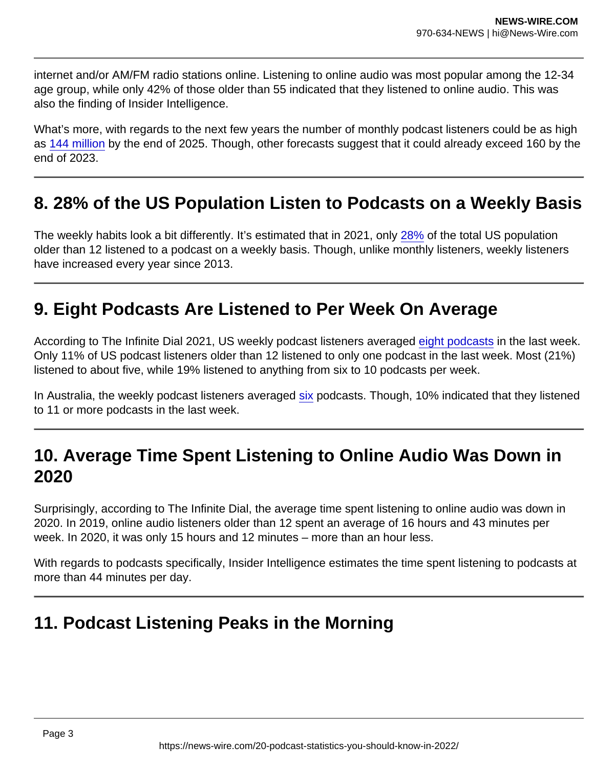internet and/or AM/FM radio stations online. Listening to online audio was most popular among the 12-34 age group, while only 42% of those older than 55 indicated that they listened to online audio. This was also the finding of Insider Intelligence.

What's more, with regards to the next few years the number of monthly podcast listeners could be as high as [144 million](https://www.insiderintelligence.com/insights/the-podcast-industry-report-statistics/) by the end of 2025. Though, other forecasts suggest that it could already exceed 160 by the end of 2023.

#### 8. 28% of the US Population Listen to Podcasts on a Weekly Basis

The weekly habits look a bit differently. It's estimated that in 2021, only [28%](http://www.edisonresearch.com/wp-content/uploads/2021/03/The-Infinite-Dial-2021.pdf) of the total US population older than 12 listened to a podcast on a weekly basis. Though, unlike monthly listeners, weekly listeners have increased every year since 2013.

#### 9. Eight Podcasts Are Listened to Per Week On Average

According to The Infinite Dial 2021, US weekly podcast listeners averaged [eight podcasts](http://www.edisonresearch.com/wp-content/uploads/2021/03/The-Infinite-Dial-2021.pdf) in the last week. Only 11% of US podcast listeners older than 12 listened to only one podcast in the last week. Most (21%) listened to about five, while 19% listened to anything from six to 10 podcasts per week.

In Australia, the weekly podcast listeners averaged [six](http://www.edisonresearch.com/wp-content/uploads/2020/05/The-Infinite-Dial-2020-Australia.pdf) podcasts. Though, 10% indicated that they listened to 11 or more podcasts in the last week.

# 10. Average Time Spent Listening to Online Audio Was Down in 2020

Surprisingly, according to The Infinite Dial, the average time spent listening to online audio was down in 2020. In 2019, online audio listeners older than 12 spent an average of 16 hours and 43 minutes per week. In 2020, it was only 15 hours and 12 minutes – more than an hour less.

With regards to podcasts specifically, Insider Intelligence estimates the time spent listening to podcasts at more than 44 minutes per day.

### 11. Podcast Listening Peaks in the Morning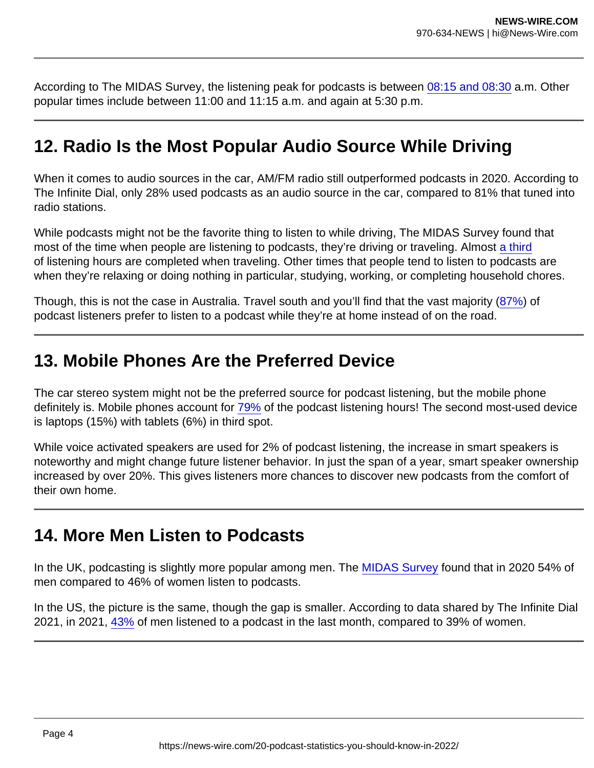According to The MIDAS Survey, the listening peak for podcasts is between [08:15 and 08:30](https://www.rajar.co.uk/docs/news/MIDAS_Spring_2020.pdf) a.m. Other popular times include between 11:00 and 11:15 a.m. and again at 5:30 p.m.

#### 12. Radio Is the Most Popular Audio Source While Driving

When it comes to audio sources in the car, AM/FM radio still outperformed podcasts in 2020. According to The Infinite Dial, only 28% used podcasts as an audio source in the car, compared to 81% that tuned into radio stations.

While podcasts might not be the favorite thing to listen to while driving, The MIDAS Survey found that most of the time when people are listening to podcasts, they're driving or traveling. Almost [a third](https://www.rajar.co.uk/docs/news/MIDAS_Spring_2020.pdf) of listening hours are completed when traveling. Other times that people tend to listen to podcasts are when they're relaxing or doing nothing in particular, studying, working, or completing household chores.

Though, this is not the case in Australia. Travel south and you'll find that the vast majority [\(87%](http://www.edisonresearch.com/wp-content/uploads/2021/04/Infinite-Dial-2021-Australia-Webinar-2.pdf)) of podcast listeners prefer to listen to a podcast while they're at home instead of on the road.

#### 13. Mobile Phones Are the Preferred Device

The car stereo system might not be the preferred source for podcast listening, but the mobile phone definitely is. Mobile phones account for [79%](https://www.rajar.co.uk/docs/news/MIDAS_Spring_2020.pdf) of the podcast listening hours! The second most-used device is laptops (15%) with tablets (6%) in third spot.

While voice activated speakers are used for 2% of podcast listening, the increase in smart speakers is noteworthy and might change future listener behavior. In just the span of a year, smart speaker ownership increased by over 20%. This gives listeners more chances to discover new podcasts from the comfort of their own home.

#### 14. More Men Listen to Podcasts

In the UK, podcasting is slightly more popular among men. The [MIDAS Survey](https://www.rajar.co.uk/docs/news/MIDAS_Spring_2020.pdf) found that in 2020 54% of men compared to 46% of women listen to podcasts.

In the US, the picture is the same, though the gap is smaller. According to data shared by The Infinite Dial 2021, in 2021, [43%](http://www.edisonresearch.com/wp-content/uploads/2021/03/The-Infinite-Dial-2021.pdf) of men listened to a podcast in the last month, compared to 39% of women.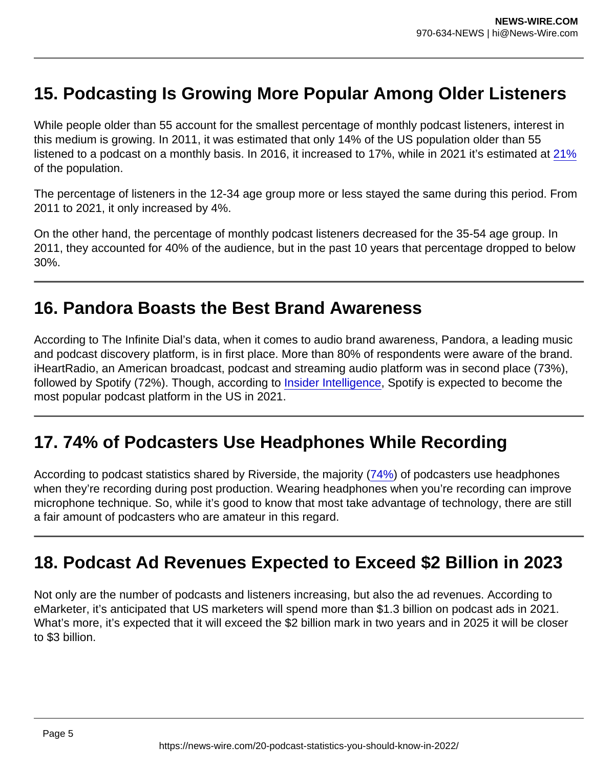# 15. Podcasting Is Growing More Popular Among Older Listeners

While people older than 55 account for the smallest percentage of monthly podcast listeners, interest in this medium is growing. In 2011, it was estimated that only 14% of the US population older than 55 listened to a podcast on a monthly basis. In 2016, it increased to 17%, while in 2021 it's estimated at [21%](http://www.edisonresearch.com/wp-content/uploads/2021/03/The-Infinite-Dial-2021.pdf) of the population.

The percentage of listeners in the 12-34 age group more or less stayed the same during this period. From 2011 to 2021, it only increased by 4%.

On the other hand, the percentage of monthly podcast listeners decreased for the 35-54 age group. In 2011, they accounted for 40% of the audience, but in the past 10 years that percentage dropped to below 30%.

#### 16. Pandora Boasts the Best Brand Awareness

According to The Infinite Dial's data, when it comes to audio brand awareness, Pandora, a leading music and podcast discovery platform, is in first place. More than 80% of respondents were aware of the brand. iHeartRadio, an American broadcast, podcast and streaming audio platform was in second place (73%), followed by Spotify (72%). Though, according to [Insider Intelligence](https://www.insiderintelligence.com/insights/the-podcast-industry-report-statistics/), Spotify is expected to become the most popular podcast platform in the US in 2021.

### 17. 74% of Podcasters Use Headphones While Recording

According to podcast statistics shared by Riverside, the majority ([74%\)](https://riverside.fm/blog/podcast-statistics) of podcasters use headphones when they're recording during post production. Wearing headphones when you're recording can improve microphone technique. So, while it's good to know that most take advantage of technology, there are still a fair amount of podcasters who are amateur in this regard.

# 18. Podcast Ad Revenues Expected to Exceed \$2 Billion in 2023

Not only are the number of podcasts and listeners increasing, but also the ad revenues. According to eMarketer, it's anticipated that US marketers will spend more than \$1.3 billion on podcast ads in 2021. What's more, it's expected that it will exceed the \$2 billion mark in two years and in 2025 it will be closer to \$3 billion.